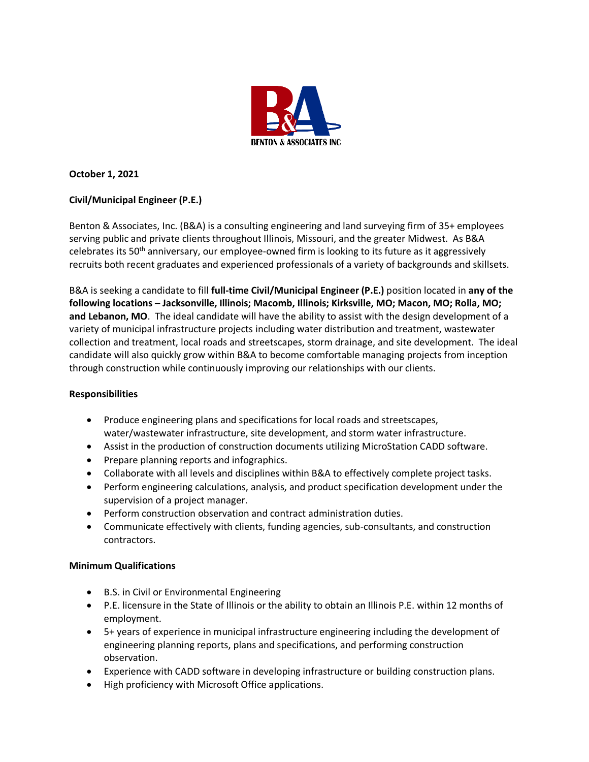

## **October 1, 2021**

# **Civil/Municipal Engineer (P.E.)**

Benton & Associates, Inc. (B&A) is a consulting engineering and land surveying firm of 35+ employees serving public and private clients throughout Illinois, Missouri, and the greater Midwest. As B&A celebrates its 50th anniversary, our employee-owned firm is looking to its future as it aggressively recruits both recent graduates and experienced professionals of a variety of backgrounds and skillsets.

B&A is seeking a candidate to fill **full-time Civil/Municipal Engineer (P.E.)** position located in **any of the following locations – Jacksonville, Illinois; Macomb, Illinois; Kirksville, MO; Macon, MO; Rolla, MO; and Lebanon, MO**. The ideal candidate will have the ability to assist with the design development of a variety of municipal infrastructure projects including water distribution and treatment, wastewater collection and treatment, local roads and streetscapes, storm drainage, and site development. The ideal candidate will also quickly grow within B&A to become comfortable managing projects from inception through construction while continuously improving our relationships with our clients.

### **Responsibilities**

- Produce engineering plans and specifications for local roads and streetscapes, water/wastewater infrastructure, site development, and storm water infrastructure.
- Assist in the production of construction documents utilizing MicroStation CADD software.
- Prepare planning reports and infographics.
- Collaborate with all levels and disciplines within B&A to effectively complete project tasks.
- Perform engineering calculations, analysis, and product specification development under the supervision of a project manager.
- Perform construction observation and contract administration duties.
- Communicate effectively with clients, funding agencies, sub-consultants, and construction contractors.

### **Minimum Qualifications**

- B.S. in Civil or Environmental Engineering
- P.E. licensure in the State of Illinois or the ability to obtain an Illinois P.E. within 12 months of employment.
- 5+ years of experience in municipal infrastructure engineering including the development of engineering planning reports, plans and specifications, and performing construction observation.
- Experience with CADD software in developing infrastructure or building construction plans.
- High proficiency with Microsoft Office applications.